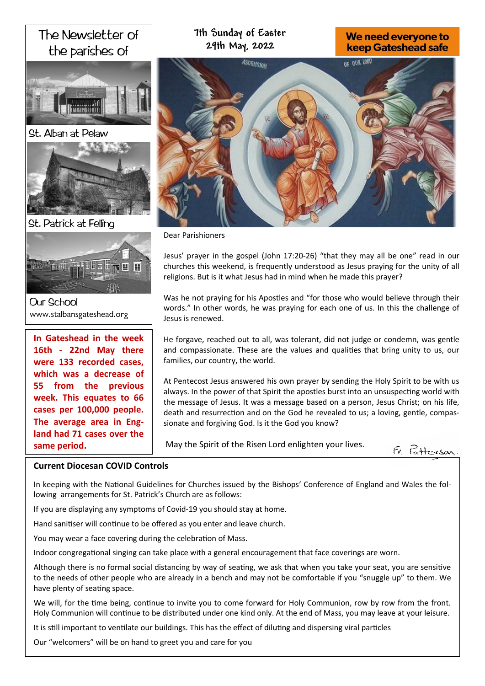# The Newsletter of the parishes of





St. Patrick at Felling



**Our School** www.stalbansgateshead.org

**In Gateshead in the week 16th - 22nd May there were 133 recorded cases, which was a decrease of 55 from the previous week. This equates to 66 cases per 100,000 people. The average area in England had 71 cases over the same period.** 

# **7th Sunday of Easter 29th May, 2022**

# We need everyone to **keep Gateshead safe**



Dear Parishioners

Jesus' prayer in the gospel (John 17:20-26) "that they may all be one" read in our churches this weekend, is frequently understood as Jesus praying for the unity of all religions. But is it what Jesus had in mind when he made this prayer?

Was he not praying for his Apostles and "for those who would believe through their words." In other words, he was praying for each one of us. In this the challenge of Jesus is renewed.

He forgave, reached out to all, was tolerant, did not judge or condemn, was gentle and compassionate. These are the values and qualities that bring unity to us, our families, our country, the world.

At Pentecost Jesus answered his own prayer by sending the Holy Spirit to be with us always. In the power of that Spirit the apostles burst into an unsuspecting world with the message of Jesus. It was a message based on a person, Jesus Christ; on his life, death and resurrection and on the God he revealed to us; a loving, gentle, compassionate and forgiving God. Is it the God you know?

May the Spirit of the Risen Lord enlighten your lives.



# **Current Diocesan COVID Controls**

In keeping with the National Guidelines for Churches issued by the Bishops' Conference of England and Wales the following arrangements for St. Patrick's Church are as follows:

If you are displaying any symptoms of Covid-19 you should stay at home.

Hand sanitiser will continue to be offered as you enter and leave church.

You may wear a face covering during the celebration of Mass.

Indoor congregational singing can take place with a general encouragement that face coverings are worn.

Although there is no formal social distancing by way of seating, we ask that when you take your seat, you are sensitive to the needs of other people who are already in a bench and may not be comfortable if you "snuggle up" to them. We have plenty of seating space.

We will, for the time being, continue to invite you to come forward for Holy Communion, row by row from the front. Holy Communion will continue to be distributed under one kind only. At the end of Mass, you may leave at your leisure.

It is still important to ventilate our buildings. This has the effect of diluting and dispersing viral particles

Our "welcomers" will be on hand to greet you and care for you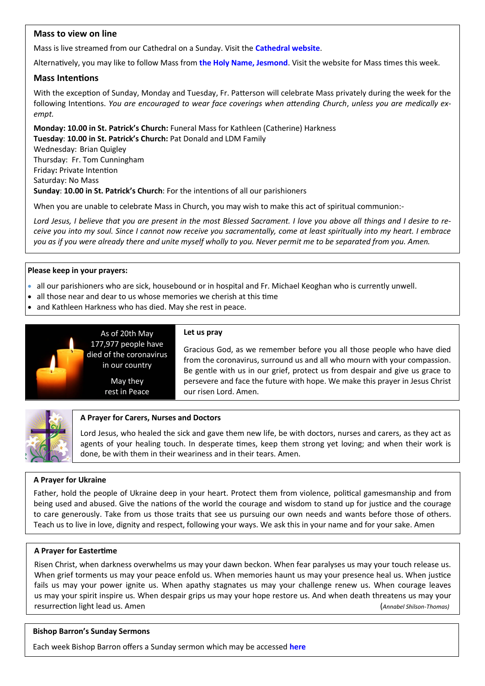## **Mass to view on line**

Mass is live streamed from our Cathedral on a Sunday. Visit the **[Cathedral website](https://www.youtube.com/channel/UC12EvW0Eqg-cFTh5i2y_EQw)**.

Alternatively, you may like to follow Mass from **the [Holy Name, Jesmond](https://www.youtube.com/channel/UCnVss0mkVR2GKS5VPJOEsDA)**. Visit the website for Mass times this week.

#### **Mass Intentions**

With the exception of Sunday, Monday and Tuesday, Fr. Patterson will celebrate Mass privately during the week for the following Intentions. *You are encouraged to wear face coverings when attending Church*, *unless you are medically exempt.*

**Monday: 10.00 in St. Patrick's Church:** Funeral Mass for Kathleen (Catherine) Harkness **Tuesday**: **10.00 in St. Patrick's Church:** Pat Donald and LDM Family Wednesday: Brian Quigley Thursday: Fr. Tom Cunningham Friday**:** Private Intention Saturday: No Mass **Sunday**: **10.00 in St. Patrick's Church**: For the intentions of all our parishioners

When you are unable to celebrate Mass in Church, you may wish to make this act of spiritual communion:-

*Lord Jesus, I believe that you are present in the most Blessed Sacrament. I love you above all things and I desire to receive you into my soul. Since I cannot now receive you sacramentally, come at least spiritually into my heart. I embrace you as if you were already there and unite myself wholly to you. Never permit me to be separated from you. Amen.*

#### **Please keep in your prayers:**

- all our parishioners who are sick, housebound or in hospital and Fr. Michael Keoghan who is currently unwell.
- all those near and dear to us whose memories we cherish at this time
- and Kathleen Harkness who has died. May she rest in peace.



As of 20th May 177,977 people have died of the coronavirus in our country

> May they rest in Peace

#### **Let us pray**

Gracious God, as we remember before you all those people who have died from the coronavirus, surround us and all who mourn with your compassion. Be gentle with us in our grief, protect us from despair and give us grace to persevere and face the future with hope. We make this prayer in Jesus Christ our risen Lord. Amen.



#### **A Prayer for Carers, Nurses and Doctors**

Lord Jesus, who healed the sick and gave them new life, be with doctors, nurses and carers, as they act as agents of your healing touch. In desperate times, keep them strong yet loving; and when their work is done, be with them in their weariness and in their tears. Amen.

#### **A Prayer for Ukraine**

Father, hold the people of Ukraine deep in your heart. Protect them from violence, political gamesmanship and from being used and abused. Give the nations of the world the courage and wisdom to stand up for justice and the courage to care generously. Take from us those traits that see us pursuing our own needs and wants before those of others. Teach us to live in love, dignity and respect, following your ways. We ask this in your name and for your sake. Amen

#### **A Prayer for Eastertime**

Risen Christ, when darkness overwhelms us may your dawn beckon. When fear paralyses us may your touch release us. When grief torments us may your peace enfold us. When memories haunt us may your presence heal us. When justice fails us may your power ignite us. When apathy stagnates us may your challenge renew us. When courage leaves us may your spirit inspire us. When despair grips us may your hope restore us. And when death threatens us may your resurrection light lead us. Amen (*Annabel Shilson-Thomas)*

#### **Bishop Barron's Sunday Sermons**

Each week Bishop Barron offers a Sunday sermon which may be accessed **[here](https://www.wordonfire.org/videos/sermons/)**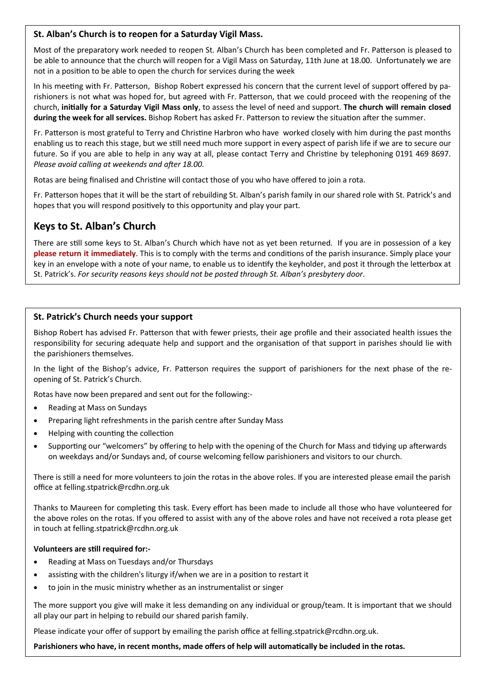# **St. Alban's Church is to reopen for a Saturday Vigil Mass.**

Most of the preparatory work needed to reopen St. Alban's Church has been completed and Fr. Patterson is pleased to be able to announce that the church will reopen for a Vigil Mass on Saturday, 11th June at 18.00. Unfortunately we are not in a position to be able to open the church for services during the week

In his meeting with Fr. Patterson, Bishop Robert expressed his concern that the current level of support offered by parishioners is not what was hoped for, but agreed with Fr. Patterson, that we could proceed with the reopening of the church, **initially for a Saturday Vigil Mass only**, to assess the level of need and support. **The church will remain closed during the week for all services.** Bishop Robert has asked Fr. Patterson to review the situation after the summer.

Fr. Patterson is most grateful to Terry and Christine Harbron who have worked closely with him during the past months enabling us to reach this stage, but we still need much more support in every aspect of parish life if we are to secure our future. So if you are able to help in any way at all, please contact Terry and Christine by telephoning 0191 469 8697. *Please avoid calling at weekends and after 18.00.* 

Rotas are being finalised and Christine will contact those of you who have offered to join a rota.

Fr. Patterson hopes that it will be the start of rebuilding St. Alban's parish family in our shared role with St. Patrick's and hopes that you will respond positively to this opportunity and play your part.

# **Keys to St. Alban's Church**

There are still some keys to St. Alban's Church which have not as yet been returned. If you are in possession of a key **please return it immediately**. This is to comply with the terms and conditions of the parish insurance. Simply place your key in an envelope with a note of your name, to enable us to identify the keyholder, and post it through the letterbox at St. Patrick's. *For security reasons keys should not be posted through St. Alban's presbytery door*.

## **St. Patrick's Church needs your support**

Bishop Robert has advised Fr. Patterson that with fewer priests, their age profile and their associated health issues the responsibility for securing adequate help and support and the organisation of that support in parishes should lie with the parishioners themselves.

In the light of the Bishop's advice, Fr. Patterson requires the support of parishioners for the next phase of the reopening of St. Patrick's Church.

Rotas have now been prepared and sent out for the following:-

- Reading at Mass on Sundays
- Preparing light refreshments in the parish centre after Sunday Mass
- Helping with counting the collection
- Supporting our "welcomers" by offering to help with the opening of the Church for Mass and tidying up afterwards on weekdays and/or Sundays and, of course welcoming fellow parishioners and visitors to our church.

There is still a need for more volunteers to join the rotas in the above roles. If you are interested please email the parish office at felling.stpatrick@rcdhn.org.uk

Thanks to Maureen for completing this task. Every effort has been made to include all those who have volunteered for the above roles on the rotas. If you offered to assist with any of the above roles and have not received a rota please get in touch at felling.stpatrick@rcdhn.org.uk

#### **Volunteers are still required for:-**

- Reading at Mass on Tuesdays and/or Thursdays
- assisting with the children's liturgy if/when we are in a position to restart it
- to join in the music ministry whether as an instrumentalist or singer

The more support you give will make it less demanding on any individual or group/team. It is important that we should all play our part in helping to rebuild our shared parish family.

Please indicate your offer of support by emailing the parish office at felling.stpatrick@rcdhn.org.uk.

**Parishioners who have, in recent months, made offers of help will automatically be included in the rotas.**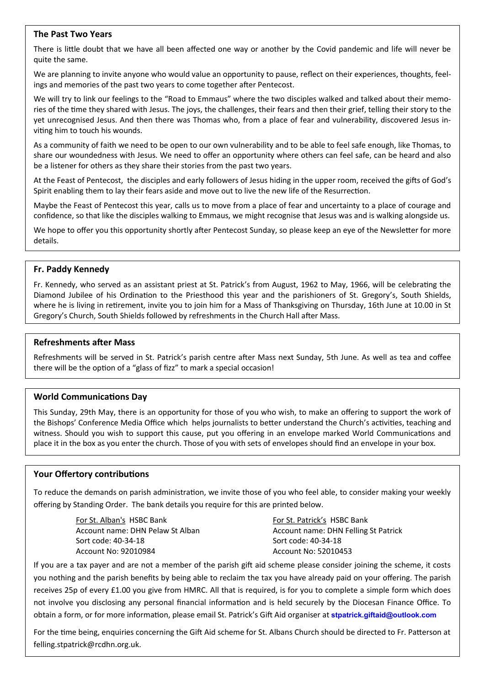#### **The Past Two Years**

There is little doubt that we have all been affected one way or another by the Covid pandemic and life will never be quite the same.

We are planning to invite anyone who would value an opportunity to pause, reflect on their experiences, thoughts, feelings and memories of the past two years to come together after Pentecost.

We will try to link our feelings to the "Road to Emmaus" where the two disciples walked and talked about their memories of the time they shared with Jesus. The joys, the challenges, their fears and then their grief, telling their story to the yet unrecognised Jesus. And then there was Thomas who, from a place of fear and vulnerability, discovered Jesus inviting him to touch his wounds.

As a community of faith we need to be open to our own vulnerability and to be able to feel safe enough, like Thomas, to share our woundedness with Jesus. We need to offer an opportunity where others can feel safe, can be heard and also be a listener for others as they share their stories from the past two years.

At the Feast of Pentecost, the disciples and early followers of Jesus hiding in the upper room, received the gifts of God's Spirit enabling them to lay their fears aside and move out to live the new life of the Resurrection.

Maybe the Feast of Pentecost this year, calls us to move from a place of fear and uncertainty to a place of courage and confidence, so that like the disciples walking to Emmaus, we might recognise that Jesus was and is walking alongside us.

We hope to offer you this opportunity shortly after Pentecost Sunday, so please keep an eye of the Newsletter for more details.

#### **Fr. Paddy Kennedy**

Fr. Kennedy, who served as an assistant priest at St. Patrick's from August, 1962 to May, 1966, will be celebrating the Diamond Jubilee of his Ordination to the Priesthood this year and the parishioners of St. Gregory's, South Shields, where he is living in retirement, invite you to join him for a Mass of Thanksgiving on Thursday, 16th June at 10.00 in St Gregory's Church, South Shields followed by refreshments in the Church Hall after Mass.

#### **Refreshments after Mass**

Refreshments will be served in St. Patrick's parish centre after Mass next Sunday, 5th June. As well as tea and coffee there will be the option of a "glass of fizz" to mark a special occasion!

#### **World Communications Day**

This Sunday, 29th May, there is an opportunity for those of you who wish, to make an offering to support the work of the Bishops' Conference Media Office which helps journalists to better understand the Church's activities, teaching and witness. Should you wish to support this cause, put you offering in an envelope marked World Communications and place it in the box as you enter the church. Those of you with sets of envelopes should find an envelope in your box.

#### **Your Offertory contributions**

To reduce the demands on parish administration, we invite those of you who feel able, to consider making your weekly offering by Standing Order. The bank details you require for this are printed below.

> For St. Alban's HSBC Bank Account name: DHN Pelaw St Alban Sort code: 40-34-18 Account No: 92010984

For St. Patrick's HSBC Bank Account name: DHN Felling St Patrick Sort code: 40-34-18 Account No: 52010453

If you are a tax payer and are not a member of the parish gift aid scheme please consider joining the scheme, it costs you nothing and the parish benefits by being able to reclaim the tax you have already paid on your offering. The parish receives 25p of every £1.00 you give from HMRC. All that is required, is for you to complete a simple form which does not involve you disclosing any personal financial information and is held securely by the Diocesan Finance Office. To obtain a form, or for more information, please email St. Patrick's Gift Aid organiser at **[stpatrick.giftaid@outlook.com](mailto:stpatrick.giftaid@outlook.com)**

For the time being, enquiries concerning the Gift Aid scheme for St. Albans Church should be directed to Fr. Patterson at felling.stpatrick@rcdhn.org.uk.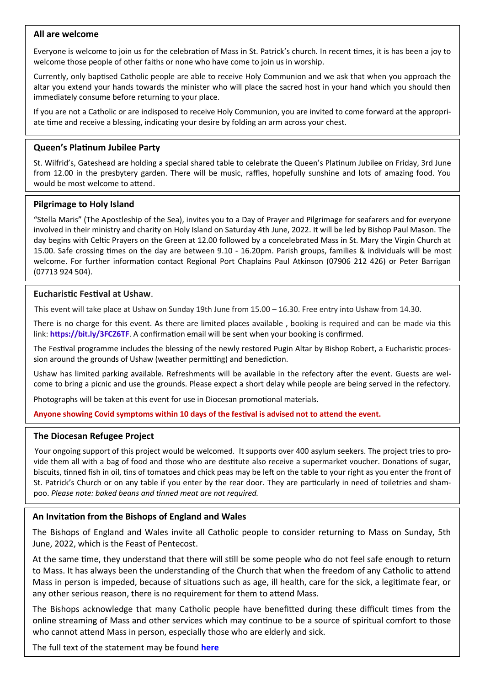## **All are welcome**

Everyone is welcome to join us for the celebration of Mass in St. Patrick's church. In recent times, it is has been a joy to welcome those people of other faiths or none who have come to join us in worship.

Currently, only baptised Catholic people are able to receive Holy Communion and we ask that when you approach the altar you extend your hands towards the minister who will place the sacred host in your hand which you should then immediately consume before returning to your place.

If you are not a Catholic or are indisposed to receive Holy Communion, you are invited to come forward at the appropriate time and receive a blessing, indicating your desire by folding an arm across your chest.

## **Queen's Platinum Jubilee Party**

St. Wilfrid's, Gateshead are holding a special shared table to celebrate the Queen's Platinum Jubilee on Friday, 3rd June from 12.00 in the presbytery garden. There will be music, raffles, hopefully sunshine and lots of amazing food. You would be most welcome to attend.

## **Pilgrimage to Holy Island**

"Stella Maris" (The Apostleship of the Sea), invites you to a Day of Prayer and Pilgrimage for seafarers and for everyone involved in their ministry and charity on Holy Island on Saturday 4th June, 2022. It will be led by Bishop Paul Mason. The day begins with Celtic Prayers on the Green at 12.00 followed by a concelebrated Mass in St. Mary the Virgin Church at 15.00. Safe crossing times on the day are between 9.10 - 16.20pm. Parish groups, families & individuals will be most welcome. For further information contact Regional Port Chaplains Paul Atkinson (07906 212 426) or Peter Barrigan (07713 924 504).

## **Eucharistic Festival at Ushaw**.

This event will take place at Ushaw on Sunday 19th June from 15.00 – 16.30. Free entry into Ushaw from 14.30.

There is no charge for this event. As there are limited places available , booking is required and can be made via this link: **<https://bit.ly/3FCZ6TF>**. A confirmation email will be sent when your booking is confirmed.

The Festival programme includes the blessing of the newly restored Pugin Altar by Bishop Robert, a Eucharistic procession around the grounds of Ushaw (weather permitting) and benediction.

Ushaw has limited parking available. Refreshments will be available in the refectory after the event. Guests are welcome to bring a picnic and use the grounds. Please expect a short delay while people are being served in the refectory.

Photographs will be taken at this event for use in Diocesan promotional materials.

#### **Anyone showing Covid symptoms within 10 days of the festival is advised not to attend the event.**

#### **The Diocesan Refugee Project**

Your ongoing support of this project would be welcomed. It supports over 400 asylum seekers. The project tries to provide them all with a bag of food and those who are destitute also receive a supermarket voucher. Donations of sugar, biscuits, tinned fish in oil, tins of tomatoes and chick peas may be left on the table to your right as you enter the front of St. Patrick's Church or on any table if you enter by the rear door. They are particularly in need of toiletries and shampoo. *Please note: baked beans and tinned meat are not required.*

# **An Invitation from the Bishops of England and Wales**

The Bishops of England and Wales invite all Catholic people to consider returning to Mass on Sunday, 5th June, 2022, which is the Feast of Pentecost.

At the same time, they understand that there will still be some people who do not feel safe enough to return to Mass. It has always been the understanding of the Church that when the freedom of any Catholic to attend Mass in person is impeded, because of situations such as age, ill health, care for the sick, a legitimate fear, or any other serious reason, there is no requirement for them to attend Mass.

The Bishops acknowledge that many Catholic people have benefitted during these difficult times from the online streaming of Mass and other services which may continue to be a source of spiritual comfort to those who cannot attend Mass in person, especially those who are elderly and sick.

The full text of the statement may be found **[here](https://www.cbcew.org.uk/spring-plenary-2022-resolution-returning-to-mass-at-pentecost/)**